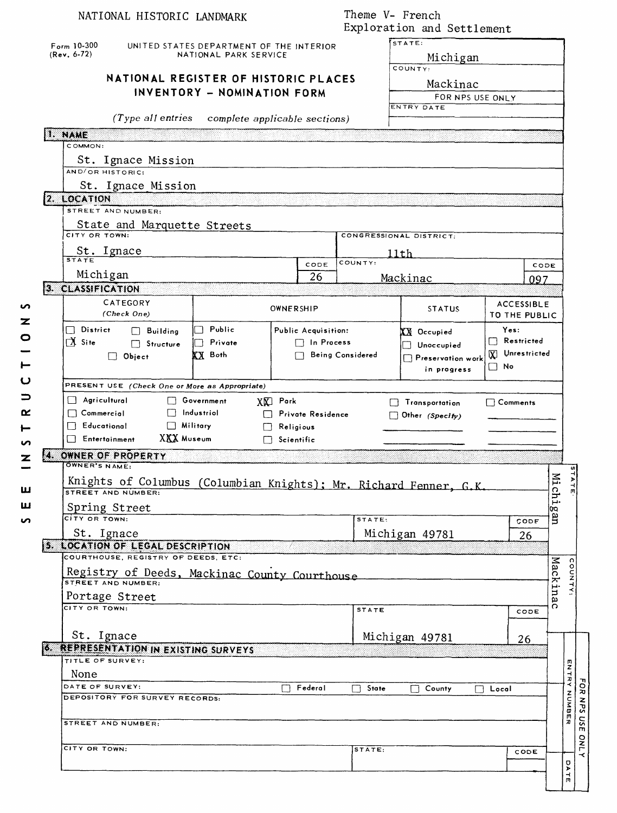| STATE:<br>$F_{\text{orm}}$ 10-300<br>UNITED STATES DEPARTMENT OF THE INTERIOR<br>$(Rev. 6-72)$<br>NATIONAL PARK SERVICE<br>Michigan<br>COUNTY:<br>NATIONAL REGISTER OF HISTORIC PLACES<br>Mackinac<br>INVENTORY - NOMINATION FORM<br>FOR NPS USE ONLY<br>ENTRY DATE<br>$(Type\ all\ entries)$<br>complete applicable sections)<br>1. NAME<br>COMMON:<br>St. Ignace Mission<br>AND/OR HISTORIC:<br>St. Ignace Mission<br>2. LOCATION<br>STREET AND NUMBER:<br>State and Marquette Streets<br>CITY OR TOWN:<br>CONGRESSIONAL DISTRICT:<br>$\frac{\mathsf{St.~Ignace}}{\mathsf{svarate}}$<br>11th<br>COUNTY:<br>CODE<br>CODE<br>Michigan<br>26<br>Mackinac<br>097<br>3. CLASSIFICATION<br>CATEGORY<br><b>ACCESSIBLE</b><br>S<br>OWNERSHIP<br><b>STATUS</b><br>(Check One)<br>TO THE PUBLIC<br>z<br>$\Box$ District<br>□ Public<br>Yes:<br>$\Box$ Building<br>Public Acquisition:<br>$XX$ Occupied<br>0<br>Restricted<br>$\sum$ Site<br>$\Box$ In Process<br>Private<br>$\Box$ Structure<br>Unoccupied<br>[X] Unrestricted<br><b>XX</b> Both<br>Being Considered<br>$\Box$ Object<br>Preservation work<br>⊢<br>$\square$ No<br>in progress<br>ပ<br>PRESENT USE (Check One or More as Appropriate)<br>っ<br>$\Box$ Agricultural<br>Government<br>$X \times T$ Park<br>Transportation<br>$\Box$ Comments<br>≃<br>$\Box$ Commercial<br>$\Box$ Industrial<br>Private Residence<br>Other (Specify)<br><b>T</b> Educational<br>$\Box$ Military<br>$\Box$ Religious<br>XXX Museum<br>Entertainment<br>$\Box$ Scientific<br>n<br>4. OWNER OF PROPERTY<br>z<br>OWNER'S NAME:<br>Жį<br>$\blacktriangleright$<br>Knights of Columbus (Columbian Knights); Mr. Richard Fenner, G.K.<br>STREET AND NUMBER:<br>Ë.<br>ய<br>Spring Street<br>0O<br>g<br>CITY OR TOWN:<br>STATE:<br>ທ<br>CODE<br>St. Ignace<br>Michigan 49781<br>26<br>5. LOCATION OF LEGAL DESCRIPTION<br>COURTHOUSE, REGISTRY OF DEEDS, ETC:<br>Mackina<br>COUNTY<br>Registry of Deeds, Mackinac County Courthouse<br>Portage Street<br>$\Omega$<br>CITY OR TOWN:<br><b>STATE</b><br>CODE<br>St. Ignace<br>Michigan 49781<br>26<br><b>6. REPRESENTATION IN EXISTING SURVEYS</b><br>TITLE OF SURVEY:<br><b>ENTRY NUMBER</b><br>None<br>FOR NPS USE<br>DATE OF SURVEY:<br>Federal<br>П<br>State<br>County<br>$\Box$ Local<br>DEPOSITORY FOR SURVEY RECORDS:<br>STREET AND NUMBER:<br><b>ONLY</b><br>CITY OR TOWN:<br>STATE:<br>CODE<br><b>DATE</b> | NATIONAL HISTORIC LANDMARK |  |  | Theme V- French<br>Exploration and Settlement |  |  |  |  |  |  |
|----------------------------------------------------------------------------------------------------------------------------------------------------------------------------------------------------------------------------------------------------------------------------------------------------------------------------------------------------------------------------------------------------------------------------------------------------------------------------------------------------------------------------------------------------------------------------------------------------------------------------------------------------------------------------------------------------------------------------------------------------------------------------------------------------------------------------------------------------------------------------------------------------------------------------------------------------------------------------------------------------------------------------------------------------------------------------------------------------------------------------------------------------------------------------------------------------------------------------------------------------------------------------------------------------------------------------------------------------------------------------------------------------------------------------------------------------------------------------------------------------------------------------------------------------------------------------------------------------------------------------------------------------------------------------------------------------------------------------------------------------------------------------------------------------------------------------------------------------------------------------------------------------------------------------------------------------------------------------------------------------------------------------------------------------------------------------------------------------------------------------------------------------------------------------------------------------------------------------------------------------------------------------------------------------------------------------------------------------------------------------------------------|----------------------------|--|--|-----------------------------------------------|--|--|--|--|--|--|
|                                                                                                                                                                                                                                                                                                                                                                                                                                                                                                                                                                                                                                                                                                                                                                                                                                                                                                                                                                                                                                                                                                                                                                                                                                                                                                                                                                                                                                                                                                                                                                                                                                                                                                                                                                                                                                                                                                                                                                                                                                                                                                                                                                                                                                                                                                                                                                                              |                            |  |  |                                               |  |  |  |  |  |  |
|                                                                                                                                                                                                                                                                                                                                                                                                                                                                                                                                                                                                                                                                                                                                                                                                                                                                                                                                                                                                                                                                                                                                                                                                                                                                                                                                                                                                                                                                                                                                                                                                                                                                                                                                                                                                                                                                                                                                                                                                                                                                                                                                                                                                                                                                                                                                                                                              |                            |  |  |                                               |  |  |  |  |  |  |
|                                                                                                                                                                                                                                                                                                                                                                                                                                                                                                                                                                                                                                                                                                                                                                                                                                                                                                                                                                                                                                                                                                                                                                                                                                                                                                                                                                                                                                                                                                                                                                                                                                                                                                                                                                                                                                                                                                                                                                                                                                                                                                                                                                                                                                                                                                                                                                                              |                            |  |  |                                               |  |  |  |  |  |  |
|                                                                                                                                                                                                                                                                                                                                                                                                                                                                                                                                                                                                                                                                                                                                                                                                                                                                                                                                                                                                                                                                                                                                                                                                                                                                                                                                                                                                                                                                                                                                                                                                                                                                                                                                                                                                                                                                                                                                                                                                                                                                                                                                                                                                                                                                                                                                                                                              |                            |  |  |                                               |  |  |  |  |  |  |
|                                                                                                                                                                                                                                                                                                                                                                                                                                                                                                                                                                                                                                                                                                                                                                                                                                                                                                                                                                                                                                                                                                                                                                                                                                                                                                                                                                                                                                                                                                                                                                                                                                                                                                                                                                                                                                                                                                                                                                                                                                                                                                                                                                                                                                                                                                                                                                                              |                            |  |  |                                               |  |  |  |  |  |  |
|                                                                                                                                                                                                                                                                                                                                                                                                                                                                                                                                                                                                                                                                                                                                                                                                                                                                                                                                                                                                                                                                                                                                                                                                                                                                                                                                                                                                                                                                                                                                                                                                                                                                                                                                                                                                                                                                                                                                                                                                                                                                                                                                                                                                                                                                                                                                                                                              |                            |  |  |                                               |  |  |  |  |  |  |
|                                                                                                                                                                                                                                                                                                                                                                                                                                                                                                                                                                                                                                                                                                                                                                                                                                                                                                                                                                                                                                                                                                                                                                                                                                                                                                                                                                                                                                                                                                                                                                                                                                                                                                                                                                                                                                                                                                                                                                                                                                                                                                                                                                                                                                                                                                                                                                                              |                            |  |  |                                               |  |  |  |  |  |  |
|                                                                                                                                                                                                                                                                                                                                                                                                                                                                                                                                                                                                                                                                                                                                                                                                                                                                                                                                                                                                                                                                                                                                                                                                                                                                                                                                                                                                                                                                                                                                                                                                                                                                                                                                                                                                                                                                                                                                                                                                                                                                                                                                                                                                                                                                                                                                                                                              |                            |  |  |                                               |  |  |  |  |  |  |
|                                                                                                                                                                                                                                                                                                                                                                                                                                                                                                                                                                                                                                                                                                                                                                                                                                                                                                                                                                                                                                                                                                                                                                                                                                                                                                                                                                                                                                                                                                                                                                                                                                                                                                                                                                                                                                                                                                                                                                                                                                                                                                                                                                                                                                                                                                                                                                                              |                            |  |  |                                               |  |  |  |  |  |  |
|                                                                                                                                                                                                                                                                                                                                                                                                                                                                                                                                                                                                                                                                                                                                                                                                                                                                                                                                                                                                                                                                                                                                                                                                                                                                                                                                                                                                                                                                                                                                                                                                                                                                                                                                                                                                                                                                                                                                                                                                                                                                                                                                                                                                                                                                                                                                                                                              |                            |  |  |                                               |  |  |  |  |  |  |
|                                                                                                                                                                                                                                                                                                                                                                                                                                                                                                                                                                                                                                                                                                                                                                                                                                                                                                                                                                                                                                                                                                                                                                                                                                                                                                                                                                                                                                                                                                                                                                                                                                                                                                                                                                                                                                                                                                                                                                                                                                                                                                                                                                                                                                                                                                                                                                                              |                            |  |  |                                               |  |  |  |  |  |  |
|                                                                                                                                                                                                                                                                                                                                                                                                                                                                                                                                                                                                                                                                                                                                                                                                                                                                                                                                                                                                                                                                                                                                                                                                                                                                                                                                                                                                                                                                                                                                                                                                                                                                                                                                                                                                                                                                                                                                                                                                                                                                                                                                                                                                                                                                                                                                                                                              |                            |  |  |                                               |  |  |  |  |  |  |
|                                                                                                                                                                                                                                                                                                                                                                                                                                                                                                                                                                                                                                                                                                                                                                                                                                                                                                                                                                                                                                                                                                                                                                                                                                                                                                                                                                                                                                                                                                                                                                                                                                                                                                                                                                                                                                                                                                                                                                                                                                                                                                                                                                                                                                                                                                                                                                                              |                            |  |  |                                               |  |  |  |  |  |  |
|                                                                                                                                                                                                                                                                                                                                                                                                                                                                                                                                                                                                                                                                                                                                                                                                                                                                                                                                                                                                                                                                                                                                                                                                                                                                                                                                                                                                                                                                                                                                                                                                                                                                                                                                                                                                                                                                                                                                                                                                                                                                                                                                                                                                                                                                                                                                                                                              |                            |  |  |                                               |  |  |  |  |  |  |
|                                                                                                                                                                                                                                                                                                                                                                                                                                                                                                                                                                                                                                                                                                                                                                                                                                                                                                                                                                                                                                                                                                                                                                                                                                                                                                                                                                                                                                                                                                                                                                                                                                                                                                                                                                                                                                                                                                                                                                                                                                                                                                                                                                                                                                                                                                                                                                                              |                            |  |  |                                               |  |  |  |  |  |  |
|                                                                                                                                                                                                                                                                                                                                                                                                                                                                                                                                                                                                                                                                                                                                                                                                                                                                                                                                                                                                                                                                                                                                                                                                                                                                                                                                                                                                                                                                                                                                                                                                                                                                                                                                                                                                                                                                                                                                                                                                                                                                                                                                                                                                                                                                                                                                                                                              |                            |  |  |                                               |  |  |  |  |  |  |
|                                                                                                                                                                                                                                                                                                                                                                                                                                                                                                                                                                                                                                                                                                                                                                                                                                                                                                                                                                                                                                                                                                                                                                                                                                                                                                                                                                                                                                                                                                                                                                                                                                                                                                                                                                                                                                                                                                                                                                                                                                                                                                                                                                                                                                                                                                                                                                                              |                            |  |  |                                               |  |  |  |  |  |  |
|                                                                                                                                                                                                                                                                                                                                                                                                                                                                                                                                                                                                                                                                                                                                                                                                                                                                                                                                                                                                                                                                                                                                                                                                                                                                                                                                                                                                                                                                                                                                                                                                                                                                                                                                                                                                                                                                                                                                                                                                                                                                                                                                                                                                                                                                                                                                                                                              |                            |  |  |                                               |  |  |  |  |  |  |
|                                                                                                                                                                                                                                                                                                                                                                                                                                                                                                                                                                                                                                                                                                                                                                                                                                                                                                                                                                                                                                                                                                                                                                                                                                                                                                                                                                                                                                                                                                                                                                                                                                                                                                                                                                                                                                                                                                                                                                                                                                                                                                                                                                                                                                                                                                                                                                                              |                            |  |  |                                               |  |  |  |  |  |  |
|                                                                                                                                                                                                                                                                                                                                                                                                                                                                                                                                                                                                                                                                                                                                                                                                                                                                                                                                                                                                                                                                                                                                                                                                                                                                                                                                                                                                                                                                                                                                                                                                                                                                                                                                                                                                                                                                                                                                                                                                                                                                                                                                                                                                                                                                                                                                                                                              |                            |  |  |                                               |  |  |  |  |  |  |
|                                                                                                                                                                                                                                                                                                                                                                                                                                                                                                                                                                                                                                                                                                                                                                                                                                                                                                                                                                                                                                                                                                                                                                                                                                                                                                                                                                                                                                                                                                                                                                                                                                                                                                                                                                                                                                                                                                                                                                                                                                                                                                                                                                                                                                                                                                                                                                                              |                            |  |  |                                               |  |  |  |  |  |  |
|                                                                                                                                                                                                                                                                                                                                                                                                                                                                                                                                                                                                                                                                                                                                                                                                                                                                                                                                                                                                                                                                                                                                                                                                                                                                                                                                                                                                                                                                                                                                                                                                                                                                                                                                                                                                                                                                                                                                                                                                                                                                                                                                                                                                                                                                                                                                                                                              |                            |  |  |                                               |  |  |  |  |  |  |
|                                                                                                                                                                                                                                                                                                                                                                                                                                                                                                                                                                                                                                                                                                                                                                                                                                                                                                                                                                                                                                                                                                                                                                                                                                                                                                                                                                                                                                                                                                                                                                                                                                                                                                                                                                                                                                                                                                                                                                                                                                                                                                                                                                                                                                                                                                                                                                                              |                            |  |  |                                               |  |  |  |  |  |  |
|                                                                                                                                                                                                                                                                                                                                                                                                                                                                                                                                                                                                                                                                                                                                                                                                                                                                                                                                                                                                                                                                                                                                                                                                                                                                                                                                                                                                                                                                                                                                                                                                                                                                                                                                                                                                                                                                                                                                                                                                                                                                                                                                                                                                                                                                                                                                                                                              |                            |  |  |                                               |  |  |  |  |  |  |
|                                                                                                                                                                                                                                                                                                                                                                                                                                                                                                                                                                                                                                                                                                                                                                                                                                                                                                                                                                                                                                                                                                                                                                                                                                                                                                                                                                                                                                                                                                                                                                                                                                                                                                                                                                                                                                                                                                                                                                                                                                                                                                                                                                                                                                                                                                                                                                                              |                            |  |  |                                               |  |  |  |  |  |  |
|                                                                                                                                                                                                                                                                                                                                                                                                                                                                                                                                                                                                                                                                                                                                                                                                                                                                                                                                                                                                                                                                                                                                                                                                                                                                                                                                                                                                                                                                                                                                                                                                                                                                                                                                                                                                                                                                                                                                                                                                                                                                                                                                                                                                                                                                                                                                                                                              |                            |  |  |                                               |  |  |  |  |  |  |
|                                                                                                                                                                                                                                                                                                                                                                                                                                                                                                                                                                                                                                                                                                                                                                                                                                                                                                                                                                                                                                                                                                                                                                                                                                                                                                                                                                                                                                                                                                                                                                                                                                                                                                                                                                                                                                                                                                                                                                                                                                                                                                                                                                                                                                                                                                                                                                                              |                            |  |  |                                               |  |  |  |  |  |  |
|                                                                                                                                                                                                                                                                                                                                                                                                                                                                                                                                                                                                                                                                                                                                                                                                                                                                                                                                                                                                                                                                                                                                                                                                                                                                                                                                                                                                                                                                                                                                                                                                                                                                                                                                                                                                                                                                                                                                                                                                                                                                                                                                                                                                                                                                                                                                                                                              |                            |  |  |                                               |  |  |  |  |  |  |
|                                                                                                                                                                                                                                                                                                                                                                                                                                                                                                                                                                                                                                                                                                                                                                                                                                                                                                                                                                                                                                                                                                                                                                                                                                                                                                                                                                                                                                                                                                                                                                                                                                                                                                                                                                                                                                                                                                                                                                                                                                                                                                                                                                                                                                                                                                                                                                                              |                            |  |  |                                               |  |  |  |  |  |  |
|                                                                                                                                                                                                                                                                                                                                                                                                                                                                                                                                                                                                                                                                                                                                                                                                                                                                                                                                                                                                                                                                                                                                                                                                                                                                                                                                                                                                                                                                                                                                                                                                                                                                                                                                                                                                                                                                                                                                                                                                                                                                                                                                                                                                                                                                                                                                                                                              |                            |  |  |                                               |  |  |  |  |  |  |
|                                                                                                                                                                                                                                                                                                                                                                                                                                                                                                                                                                                                                                                                                                                                                                                                                                                                                                                                                                                                                                                                                                                                                                                                                                                                                                                                                                                                                                                                                                                                                                                                                                                                                                                                                                                                                                                                                                                                                                                                                                                                                                                                                                                                                                                                                                                                                                                              |                            |  |  |                                               |  |  |  |  |  |  |
|                                                                                                                                                                                                                                                                                                                                                                                                                                                                                                                                                                                                                                                                                                                                                                                                                                                                                                                                                                                                                                                                                                                                                                                                                                                                                                                                                                                                                                                                                                                                                                                                                                                                                                                                                                                                                                                                                                                                                                                                                                                                                                                                                                                                                                                                                                                                                                                              |                            |  |  |                                               |  |  |  |  |  |  |
|                                                                                                                                                                                                                                                                                                                                                                                                                                                                                                                                                                                                                                                                                                                                                                                                                                                                                                                                                                                                                                                                                                                                                                                                                                                                                                                                                                                                                                                                                                                                                                                                                                                                                                                                                                                                                                                                                                                                                                                                                                                                                                                                                                                                                                                                                                                                                                                              |                            |  |  |                                               |  |  |  |  |  |  |
|                                                                                                                                                                                                                                                                                                                                                                                                                                                                                                                                                                                                                                                                                                                                                                                                                                                                                                                                                                                                                                                                                                                                                                                                                                                                                                                                                                                                                                                                                                                                                                                                                                                                                                                                                                                                                                                                                                                                                                                                                                                                                                                                                                                                                                                                                                                                                                                              |                            |  |  |                                               |  |  |  |  |  |  |
|                                                                                                                                                                                                                                                                                                                                                                                                                                                                                                                                                                                                                                                                                                                                                                                                                                                                                                                                                                                                                                                                                                                                                                                                                                                                                                                                                                                                                                                                                                                                                                                                                                                                                                                                                                                                                                                                                                                                                                                                                                                                                                                                                                                                                                                                                                                                                                                              |                            |  |  |                                               |  |  |  |  |  |  |
|                                                                                                                                                                                                                                                                                                                                                                                                                                                                                                                                                                                                                                                                                                                                                                                                                                                                                                                                                                                                                                                                                                                                                                                                                                                                                                                                                                                                                                                                                                                                                                                                                                                                                                                                                                                                                                                                                                                                                                                                                                                                                                                                                                                                                                                                                                                                                                                              |                            |  |  |                                               |  |  |  |  |  |  |
|                                                                                                                                                                                                                                                                                                                                                                                                                                                                                                                                                                                                                                                                                                                                                                                                                                                                                                                                                                                                                                                                                                                                                                                                                                                                                                                                                                                                                                                                                                                                                                                                                                                                                                                                                                                                                                                                                                                                                                                                                                                                                                                                                                                                                                                                                                                                                                                              |                            |  |  |                                               |  |  |  |  |  |  |
|                                                                                                                                                                                                                                                                                                                                                                                                                                                                                                                                                                                                                                                                                                                                                                                                                                                                                                                                                                                                                                                                                                                                                                                                                                                                                                                                                                                                                                                                                                                                                                                                                                                                                                                                                                                                                                                                                                                                                                                                                                                                                                                                                                                                                                                                                                                                                                                              |                            |  |  |                                               |  |  |  |  |  |  |
|                                                                                                                                                                                                                                                                                                                                                                                                                                                                                                                                                                                                                                                                                                                                                                                                                                                                                                                                                                                                                                                                                                                                                                                                                                                                                                                                                                                                                                                                                                                                                                                                                                                                                                                                                                                                                                                                                                                                                                                                                                                                                                                                                                                                                                                                                                                                                                                              |                            |  |  |                                               |  |  |  |  |  |  |
|                                                                                                                                                                                                                                                                                                                                                                                                                                                                                                                                                                                                                                                                                                                                                                                                                                                                                                                                                                                                                                                                                                                                                                                                                                                                                                                                                                                                                                                                                                                                                                                                                                                                                                                                                                                                                                                                                                                                                                                                                                                                                                                                                                                                                                                                                                                                                                                              |                            |  |  |                                               |  |  |  |  |  |  |
|                                                                                                                                                                                                                                                                                                                                                                                                                                                                                                                                                                                                                                                                                                                                                                                                                                                                                                                                                                                                                                                                                                                                                                                                                                                                                                                                                                                                                                                                                                                                                                                                                                                                                                                                                                                                                                                                                                                                                                                                                                                                                                                                                                                                                                                                                                                                                                                              |                            |  |  |                                               |  |  |  |  |  |  |
|                                                                                                                                                                                                                                                                                                                                                                                                                                                                                                                                                                                                                                                                                                                                                                                                                                                                                                                                                                                                                                                                                                                                                                                                                                                                                                                                                                                                                                                                                                                                                                                                                                                                                                                                                                                                                                                                                                                                                                                                                                                                                                                                                                                                                                                                                                                                                                                              |                            |  |  |                                               |  |  |  |  |  |  |
|                                                                                                                                                                                                                                                                                                                                                                                                                                                                                                                                                                                                                                                                                                                                                                                                                                                                                                                                                                                                                                                                                                                                                                                                                                                                                                                                                                                                                                                                                                                                                                                                                                                                                                                                                                                                                                                                                                                                                                                                                                                                                                                                                                                                                                                                                                                                                                                              |                            |  |  |                                               |  |  |  |  |  |  |
|                                                                                                                                                                                                                                                                                                                                                                                                                                                                                                                                                                                                                                                                                                                                                                                                                                                                                                                                                                                                                                                                                                                                                                                                                                                                                                                                                                                                                                                                                                                                                                                                                                                                                                                                                                                                                                                                                                                                                                                                                                                                                                                                                                                                                                                                                                                                                                                              |                            |  |  |                                               |  |  |  |  |  |  |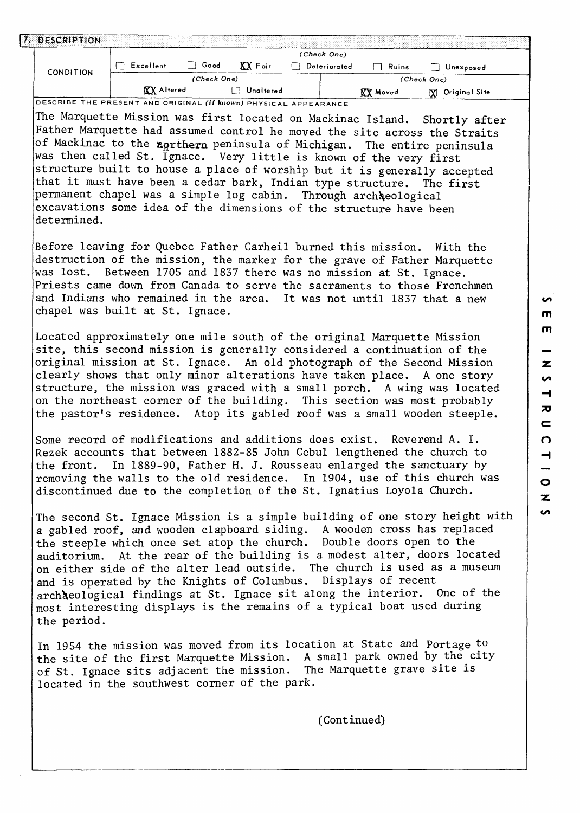| 7. DESCRIPTION                                                                                                                                                                                                                                                                                                                                                             |                  |             |                  |              |                 |                                                                                                                                                                                                                                                                                                                                                                                                                                                                     |
|----------------------------------------------------------------------------------------------------------------------------------------------------------------------------------------------------------------------------------------------------------------------------------------------------------------------------------------------------------------------------|------------------|-------------|------------------|--------------|-----------------|---------------------------------------------------------------------------------------------------------------------------------------------------------------------------------------------------------------------------------------------------------------------------------------------------------------------------------------------------------------------------------------------------------------------------------------------------------------------|
|                                                                                                                                                                                                                                                                                                                                                                            |                  |             |                  | (Check One)  |                 |                                                                                                                                                                                                                                                                                                                                                                                                                                                                     |
| <b>CONDITION</b>                                                                                                                                                                                                                                                                                                                                                           | $\Box$ Excellent | $\Box$ Good | $XX$ Foir        | Deteriorated | $\Box$ Ruins    | Unexposed                                                                                                                                                                                                                                                                                                                                                                                                                                                           |
|                                                                                                                                                                                                                                                                                                                                                                            | XX Altered       | (Check One) | <b>Unaltered</b> |              |                 | (Check One)                                                                                                                                                                                                                                                                                                                                                                                                                                                         |
| DESCRIBE THE PRESENT AND ORIGINAL (If known) PHYSICAL APPEARANCE                                                                                                                                                                                                                                                                                                           |                  |             |                  |              | <b>XX</b> Moved | [X] Original Site                                                                                                                                                                                                                                                                                                                                                                                                                                                   |
| was then called St. Ignace. Very little is known of the very first<br>that it must have been a cedar bark, Indian type structure. The first<br>permanent chapel was a simple log cabin. Through archaeological<br>excavations some idea of the dimensions of the structure have been<br>determined.<br>was lost. Between 1705 and 1837 there was no mission at St. Ignace. |                  |             |                  |              |                 | The Marquette Mission was first located on Mackinac Island. Shortly after<br>Father Marquette had assumed control he moved the site across the Straits<br>of Mackinac to the northern peninsula of Michigan. The entire peninsula<br>structure built to house a place of worship but it is generally accepted<br>Before leaving for Quebec Father Carheil burned this mission. With the<br>destruction of the mission, the marker for the grave of Father Marquette |
| and Indians who remained in the area. It was not until 1837 that a new<br>chapel was built at St. Ignace.                                                                                                                                                                                                                                                                  |                  |             |                  |              |                 | Priests came down from Canada to serve the sacraments to those Frenchmen                                                                                                                                                                                                                                                                                                                                                                                            |
| Located approximately one mile south of the original Marquette Mission                                                                                                                                                                                                                                                                                                     |                  |             |                  |              |                 | site, this second mission is generally considered a continuation of the<br>original mission at St. Ignace. An old photograph of the Second Mission<br>clearly shows that only minor alterations have taken place. A one story<br>structure, the mission was graced with a small porch. A wing was located<br>on the northeast corner of the building. This section was most probably<br>the pastor's residence. Atop its gabled roof was a small wooden steeple.    |
| Some record of modifications and additions does exist. Reverend A. I.<br>the front.<br>discontinued due to the completion of the St. Ignatius Loyola Church.                                                                                                                                                                                                               |                  |             |                  |              |                 | Rezek accounts that between 1882-85 John Cebul lengthened the church to<br>In 1889-90, Father H. J. Rousseau enlarged the sanctuary by<br>removing the walls to the old residence. In 1904, use of this church was                                                                                                                                                                                                                                                  |
| the steeple which once set atop the church. Double doors open to the<br>and is operated by the Knights of Columbus. Displays of recent<br>most interesting displays is the remains of a typical boat used during<br>the period.                                                                                                                                            |                  |             |                  |              |                 | The second St. Ignace Mission is a simple building of one story height with<br>a gabled roof, and wooden clapboard siding. A wooden cross has replaced<br>auditorium. At the rear of the building is a modest alter, doors located<br>on either side of the alter lead outside. The church is used as a museum<br>archaeological findings at St. Ignace sit along the interior. One of the                                                                          |
| of St. Ignace sits adjacent the mission. The Marquette grave site is<br>located in the southwest corner of the park.                                                                                                                                                                                                                                                       |                  |             |                  |              |                 | In 1954 the mission was moved from its location at State and Portage to<br>the site of the first Marquette Mission. A small park owned by the city                                                                                                                                                                                                                                                                                                                  |
|                                                                                                                                                                                                                                                                                                                                                                            |                  |             |                  |              | (Continued)     |                                                                                                                                                                                                                                                                                                                                                                                                                                                                     |
|                                                                                                                                                                                                                                                                                                                                                                            |                  |             |                  |              |                 |                                                                                                                                                                                                                                                                                                                                                                                                                                                                     |

 $\overline{a}$ m  $\blacksquare$ z  $\overline{a}$  $\rightarrow$  $\overline{\bm{z}}$  $\overline{\phantom{a}}$  $\Omega$  $\overline{\phantom{0}}$ - $\circ$  $\overline{\mathbf{z}}$  $\bullet$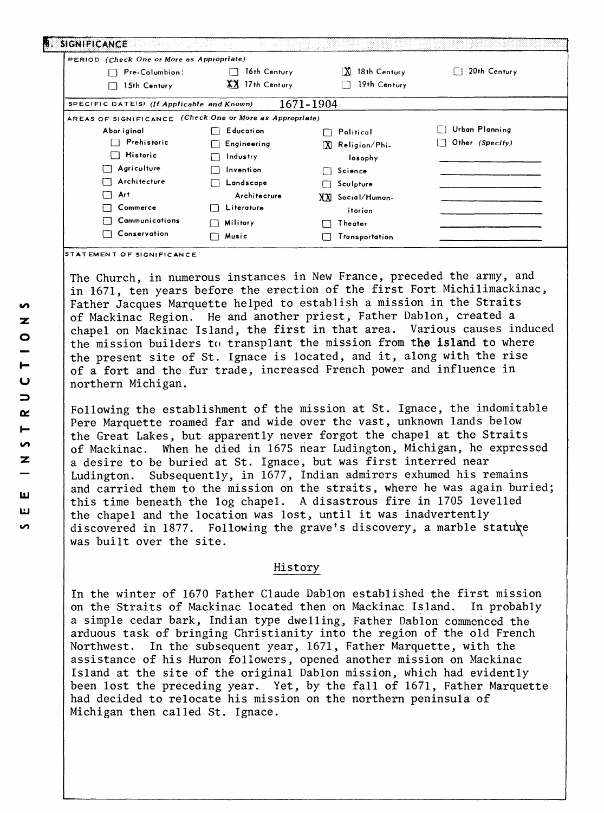| PERIOD (Check One or More as Appropriate)                |                      |                       |                 |
|----------------------------------------------------------|----------------------|-----------------------|-----------------|
| Pre-Columbion                                            | 16th Century         | 18th Century<br>ΓXΙ.  | 20th Century    |
| 15th Century                                             | XX 17th Century      | 19th Century          |                 |
| SPECIFIC DATE(S) (If Applicable and Known)               |                      | 1671-1904             |                 |
| AREAS OF SIGNIFICANCE (Check One or More as Appropriate) |                      |                       |                 |
| Abor iginal                                              | Educotion            | Political             | Urban Planning  |
| Prehistoric                                              | Engineering          | ΓXΊ.<br>Religion/Phi- | Other (Specify) |
| Historic<br>$\mathsf{L}$                                 | Industry             | losophy               |                 |
| Agriculture                                              | Invention            | Science<br>Ιì         |                 |
| Architecture                                             | Landscape            | Sculpture             |                 |
| Art                                                      | Architecture         | XXI Social/Human-     |                 |
| Commerce                                                 | Literature<br>$\Box$ | itorian               |                 |
| Cammunications                                           | Military<br>Ιi       | Theater               |                 |
| Conservation                                             | Music                | Transportation        |                 |

**STATEMENT OF SIGNIFICANCE**

The Church, in numerous instances in New France, preceded the army, and in 1671, ten years before the erection of the first Fort Michilimackinac, Father Jacques Marquette helped to establish a mission in the Straits of Mackinac Region. He and another priest, Father Dablon, created a chapel on Mackinac Island, the first in that area. Various causes induced the mission builders to transplant the mission from the island to where the present site of St. Ignace is located, and it, along with the rise of a fort and the fur trade, increased French power and influence in northern Michigan.

Following the establishment of the mission at St. Ignace, the indomitable Pere Marquette roamed far and wide over the vast, unknown lands below the Great Lakes, but apparently never forgot the chapel at the Straits of Mackinac. When he died in 1675 near Ludington, Michigan, he expressed a desire to be buried at St. Ignace, but was first interred near Ludington. Subsequently, in 1677, Indian admirers exhumed his remains and carried them to the mission on the straits, where he was again buried; this time beneath the log chapel. A disastrous fire in 1705 levelled the chapel and the location was lost, until it was inadvertently discovered in 1877. Following the grave's discovery, a marble statute was built over the site.

#### History

In the winter of 1670 Father Claude Dablon established the first mission on the Straits of Mackinac located then on Mackinac Island. In probably a simple cedar bark, Indian type dwelling, Father Dablon commenced the arduous task of bringing Christianity into the region of the old French Northwest. In the subsequent year, 1671, Father Marquette, with the assistance of his Huron followers, opened another mission on Mackinac Island at the site of the original Dablon mission, which had evidently been lost the preceding year. Yet, by the fall of 1671, Father Marquette had decided to relocate his mission on the northern peninsula of Michigan then called St. Ignace.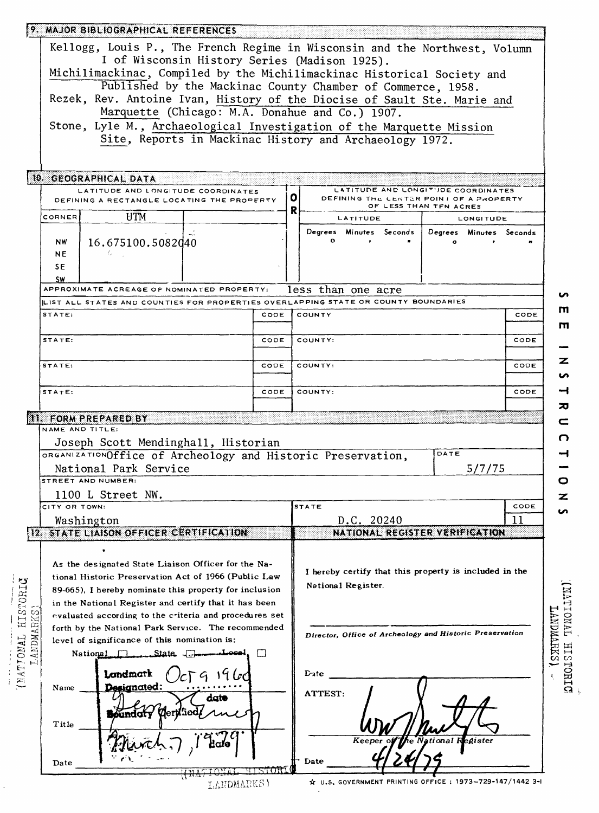|                  | 9. MAJOR BIBLIOGRAPHICAL REFERENCES                                                                                              |                |                                                                                     |  |  |  |  |  |  |
|------------------|----------------------------------------------------------------------------------------------------------------------------------|----------------|-------------------------------------------------------------------------------------|--|--|--|--|--|--|
|                  | Kellogg, Louis P., The French Regime in Wisconsin and the Northwest, Volumn                                                      |                |                                                                                     |  |  |  |  |  |  |
|                  | I of Wisconsin History Series (Madison 1925).<br>Michilimackinac, Compiled by the Michilimackinac Historical Society and         |                |                                                                                     |  |  |  |  |  |  |
|                  | Published by the Mackinac County Chamber of Commerce, 1958.                                                                      |                |                                                                                     |  |  |  |  |  |  |
|                  | Rezek, Rev. Antoine Ivan, History of the Diocise of Sault Ste. Marie and                                                         |                |                                                                                     |  |  |  |  |  |  |
|                  | Marquette (Chicago: M.A. Donahue and Co.) 1907.                                                                                  |                |                                                                                     |  |  |  |  |  |  |
|                  | Stone, Lyle M., Archaeological Investigation of the Marquette Mission<br>Site, Reports in Mackinac History and Archaeology 1972. |                |                                                                                     |  |  |  |  |  |  |
|                  |                                                                                                                                  |                |                                                                                     |  |  |  |  |  |  |
|                  | 10. GEOGRAPHICAL DATA                                                                                                            |                |                                                                                     |  |  |  |  |  |  |
|                  | LATITUDE AND LONGITUDE COORDINATES                                                                                               |                | LATITUDE AND LONGITUDE COORDINATES<br>0.<br>DEFINING THE CENTER POINT OF A PROPERTY |  |  |  |  |  |  |
|                  | DEFINING A RECTANGLE LOCATING THE PROPERTY                                                                                       |                | OF LESS THAN TFN ACRES<br>R                                                         |  |  |  |  |  |  |
|                  | UTM<br>CORNER                                                                                                                    |                | LATITUDE<br><b>LONGITUDE</b>                                                        |  |  |  |  |  |  |
|                  | 16.675100.5082040<br>NW<br>Ι.<br>NE.<br>SE.                                                                                      |                | Degrees Minutes Seconds  <br>Degrees Minutes Seconds<br>$\mathbf{o}$                |  |  |  |  |  |  |
|                  | SW                                                                                                                               |                |                                                                                     |  |  |  |  |  |  |
|                  | APPROXIMATE ACREAGE OF NOMINATED PROPERTY:                                                                                       |                | less than one acre<br>∽                                                             |  |  |  |  |  |  |
|                  | LIST ALL STATES AND COUNTIES FOR PROPERTIES OVERLAPPING STATE OR COUNTY BOUNDARIES<br>STATE:                                     | CODE           | ш<br>COUNTY<br>CODE                                                                 |  |  |  |  |  |  |
|                  |                                                                                                                                  |                | m                                                                                   |  |  |  |  |  |  |
|                  | STATE:                                                                                                                           | CODE           | COUNTY:<br>CODE                                                                     |  |  |  |  |  |  |
|                  | STATE:                                                                                                                           | CODE           | z<br>CODE<br>COUNTY:<br>n                                                           |  |  |  |  |  |  |
|                  | STATE:                                                                                                                           | CODE           | ᅿ<br>CODE<br>COUNTY:                                                                |  |  |  |  |  |  |
|                  |                                                                                                                                  |                | ᅍ                                                                                   |  |  |  |  |  |  |
|                  | II. FORM PREPARED BY<br>NAME AND TITLE:                                                                                          |                | c                                                                                   |  |  |  |  |  |  |
|                  | Joseph Scott Mendinghall, Historian                                                                                              |                | n.                                                                                  |  |  |  |  |  |  |
|                  | ORGANIZATIONOffice of Archeology and Historic Preservation,                                                                      |                | DATE<br>⊣                                                                           |  |  |  |  |  |  |
|                  | National Park Service<br>STREET AND NUMBER:                                                                                      |                | 5/7/75<br>o                                                                         |  |  |  |  |  |  |
|                  | 1100 L Street NW.                                                                                                                |                | z                                                                                   |  |  |  |  |  |  |
|                  | CITY OR TOWN:                                                                                                                    |                | <b>STATE</b><br>CODE<br>n                                                           |  |  |  |  |  |  |
|                  | Washington                                                                                                                       |                | 11<br>D.C. 20240                                                                    |  |  |  |  |  |  |
|                  | <b>12. STATE LIAISON OFFICER CERTIFICATION</b>                                                                                   |                | NATIONAL REGISTER VERIFICATION                                                      |  |  |  |  |  |  |
|                  |                                                                                                                                  |                |                                                                                     |  |  |  |  |  |  |
|                  | As the designated State Liaison Officer for the Na-<br>tional Historic Preservation Act of 1966 (Public Law                      |                | I hereby certify that this property is included in the                              |  |  |  |  |  |  |
| <b>HISTORIC</b>  | 89-665). I hereby nominate this property for inclusion                                                                           |                | National Register.                                                                  |  |  |  |  |  |  |
|                  | in the National Register and certify that it has been                                                                            |                |                                                                                     |  |  |  |  |  |  |
|                  | evaluated according to the criteria and procedures set                                                                           |                | <b>IANOITAL</b>                                                                     |  |  |  |  |  |  |
|                  | forth by the National Park Service. The recommended<br>level of significance of this nomination is:                              |                | Director, Office of Archeology and Historic Preservation                            |  |  |  |  |  |  |
| LANDMARKS        | .State.<br>National 1                                                                                                            |                | <b>LANDREKS</b>                                                                     |  |  |  |  |  |  |
| <b>COMPIONAL</b> | Londmark                                                                                                                         |                | <b>NISTORIC</b>                                                                     |  |  |  |  |  |  |
|                  | Designated:<br>Name                                                                                                              |                | Date                                                                                |  |  |  |  |  |  |
|                  | dato<br><b>Moundary</b>                                                                                                          |                | ATTEST:                                                                             |  |  |  |  |  |  |
|                  | Title                                                                                                                            |                |                                                                                     |  |  |  |  |  |  |
|                  |                                                                                                                                  |                | gister<br>Date                                                                      |  |  |  |  |  |  |
|                  | Date                                                                                                                             | <u>HISTORI</u> |                                                                                     |  |  |  |  |  |  |
|                  | LANDMARKS)                                                                                                                       |                | ☆ U.S. GOVERNMENT PRINTING OFFICE : 1973~729-147/1442 3-1                           |  |  |  |  |  |  |

ł,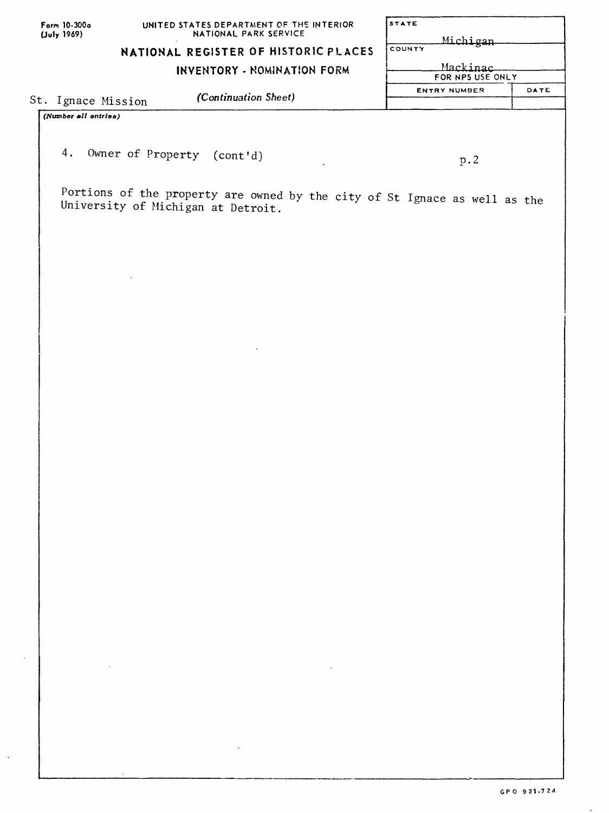| Form 10-300a |
|--------------|
| (July 1969)  |

| <b>STATE</b>        |      |
|---------------------|------|
| Michigan            |      |
| COUNTY              |      |
| Mackinac            |      |
| FOR NPS USE ONLY    |      |
| <b>ENTRY NUMBER</b> | DATE |
|                     |      |

# **NATIONAL REGISTER OF HISTORIC PLACES**

 $\ddot{\phantom{a}}$ 

## **INVENTORY - NOMINATION FORM**

St. Ignace Mission *(Continuation Sheet)*

*(Number all entries)* 

4. Owner of Property (cont'd)

**D.2**

Portions of the property are owned by the city of St Ignace as well as the University of Michigan at Detroit.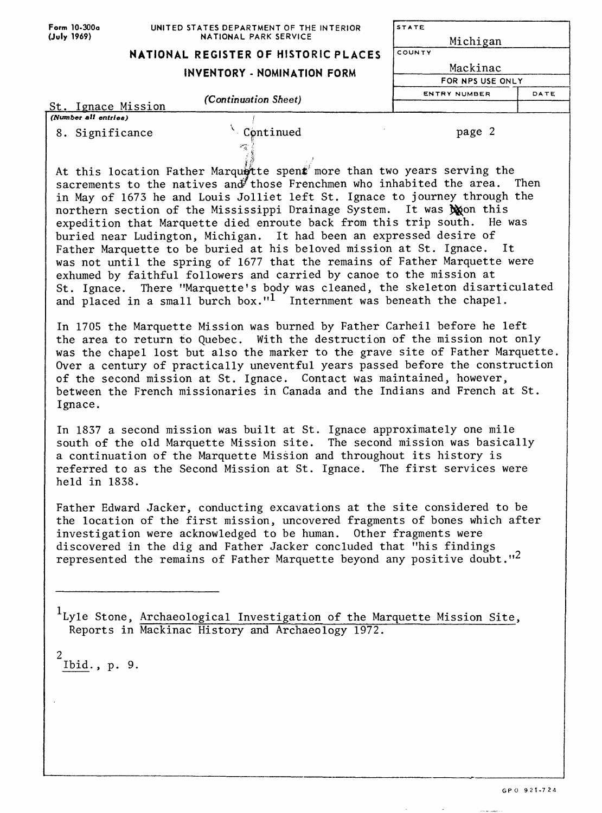| Form 10-300a                                | UNITED STATES DEPARTMENT OF THE INTERIOR                                                                                                                                                                                                 | STATE                                           |  |  |
|---------------------------------------------|------------------------------------------------------------------------------------------------------------------------------------------------------------------------------------------------------------------------------------------|-------------------------------------------------|--|--|
| (July 1969)<br><b>NATIONAL PARK SERVICE</b> |                                                                                                                                                                                                                                          | Michigan                                        |  |  |
|                                             | NATIONAL REGISTER OF HISTORIC PLACES                                                                                                                                                                                                     | COUNTY                                          |  |  |
|                                             | INVENTORY - NOMINATION FORM                                                                                                                                                                                                              | Mackinac                                        |  |  |
|                                             |                                                                                                                                                                                                                                          | FOR NPS USE ONLY<br><b>ENTRY NUMBER</b><br>DATE |  |  |
| St. Ignace Mission                          | (Continuation Sheet)                                                                                                                                                                                                                     |                                                 |  |  |
| (Number all entries)                        |                                                                                                                                                                                                                                          |                                                 |  |  |
| 8. Significance                             | Continued                                                                                                                                                                                                                                | page 2                                          |  |  |
|                                             | At this location Father Marquette spent more than two years serving the<br>sacrements to the natives and those Frenchmen who inhabited the area. Then                                                                                    |                                                 |  |  |
|                                             | in May of 1673 he and Louis Jolliet left St. Ignace to journey through the                                                                                                                                                               |                                                 |  |  |
|                                             | northern section of the Mississippi Drainage System. It was toon this                                                                                                                                                                    |                                                 |  |  |
|                                             | expedition that Marquette died enroute back from this trip south. He was<br>buried near Ludington, Michigan. It had been an expressed desire of                                                                                          |                                                 |  |  |
|                                             | Father Marquette to be buried at his beloved mission at St. Ignace. It                                                                                                                                                                   |                                                 |  |  |
|                                             | was not until the spring of 1677 that the remains of Father Marquette were                                                                                                                                                               |                                                 |  |  |
|                                             | exhumed by faithful followers and carried by canoe to the mission at                                                                                                                                                                     |                                                 |  |  |
|                                             | St. Ignace. There "Marquette's body was cleaned, the skeleton disarticulated                                                                                                                                                             |                                                 |  |  |
|                                             | and placed in a small burch box." <sup>1</sup> Internment was beneath the chapel.                                                                                                                                                        |                                                 |  |  |
|                                             | In 1705 the Marquette Mission was burned by Father Carheil before he left<br>the area to return to Quebec. With the destruction of the mission not only                                                                                  |                                                 |  |  |
|                                             | was the chapel lost but also the marker to the grave site of Father Marquette.<br>Over a century of practically uneventful years passed before the construction<br>of the second mission at St. Ignace. Contact was maintained, however, |                                                 |  |  |
| Ignace.                                     | between the French missionaries in Canada and the Indians and French at St.                                                                                                                                                              |                                                 |  |  |
|                                             | In 1837 a second mission was built at St. Ignace approximately one mile<br>south of the old Marquette Mission site. The second mission was basically<br>a continuation of the Marquette Mission and throughout its history is            |                                                 |  |  |
| held in 1838.                               | referred to as the Second Mission at St. Ignace. The first services were                                                                                                                                                                 |                                                 |  |  |
|                                             | Father Edward Jacker, conducting excavations at the site considered to be<br>the location of the first mission, uncovered fragments of bones which after                                                                                 |                                                 |  |  |
|                                             | investigation were acknowledged to be human. Other fragments were                                                                                                                                                                        |                                                 |  |  |
|                                             | discovered in the dig and Father Jacker concluded that "his findings                                                                                                                                                                     |                                                 |  |  |
|                                             | represented the remains of Father Marquette beyond any positive doubt." <sup>2</sup>                                                                                                                                                     |                                                 |  |  |
|                                             |                                                                                                                                                                                                                                          |                                                 |  |  |
|                                             |                                                                                                                                                                                                                                          |                                                 |  |  |
|                                             | <sup>1</sup> Ly1e Stone, Archaeological Investigation of the Marquette Mission Site,<br>Reports in Mackinac History and Archaeology 1972.                                                                                                |                                                 |  |  |
| 2<br>Ibid., p. 9.                           |                                                                                                                                                                                                                                          |                                                 |  |  |
|                                             |                                                                                                                                                                                                                                          |                                                 |  |  |
|                                             |                                                                                                                                                                                                                                          |                                                 |  |  |
|                                             |                                                                                                                                                                                                                                          |                                                 |  |  |

 $\mathbb{Z}^{\mathbb{Z}^2}$ 

 $\label{eq:1} \mathcal{C}(\mathcal{C}^{\text{in}}(\mathcal{C}^{\text{in}}),\mathcal{C}^{\text{in}}(\mathcal{C}^{\text{in}}),\mathcal{C}^{\text{in}}(\mathcal{C}^{\text{in}}),\mathcal{C}^{\text{in}}(\mathcal{C}^{\text{in}}))$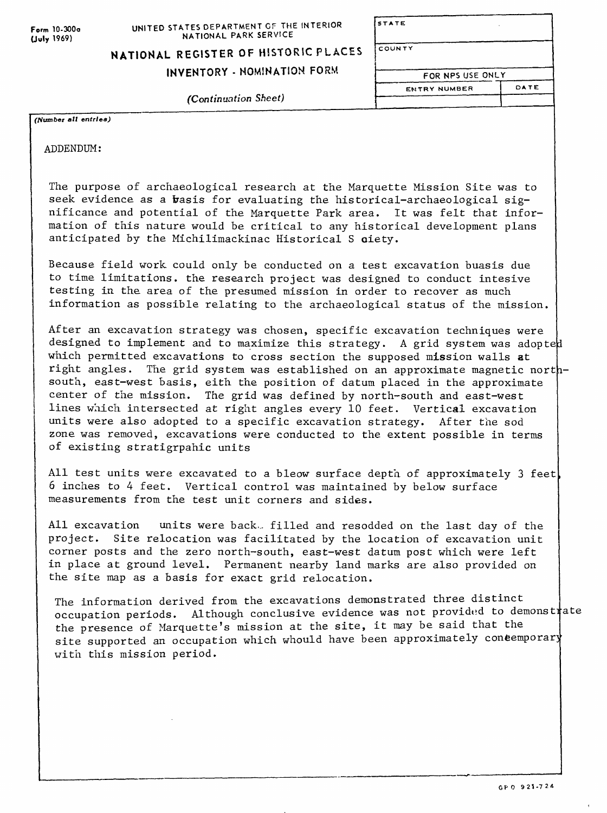# **STATE COUNTY** FOR NPS USE ONLY **ENTRY NUMBER DATE**

**NATIONAL REGISTER OF HISTORIC PL ACES INVENTORY - NOMINATION FORM**

*(Continuation Sheet)*

*(Number alt entries)*

ADDENDUM:

The purpose of archaeological research at the Marquette Mission Site was to seek evidence as a basis for evaluating the historical-archaeological significance and potential of the Marquette Park area. It was felt that information of this nature would be critical to any historical development plans anticipated by the Michilimackinac Historical S oiety.

Because field work could only be conducted on a test excavation buasis due to time limitations, the research project was designed to conduct intesive testing in the area of the presumed mission in order to recover as much information as possible relating to the archaeological status of the mission.

After an excavation strategy was chosen, specific excavation techniques were designed to implement and to maximize this strategy. A grid system was adopted which permitted excavations to cross section the supposed mission walls at right angles. The grid system was established on an approximate magnetic northsouth, east-west basis, eith the position of datum placed in the approximate center of the mission. The grid was defined by north-south and east-west lines which intersected at right angles every 10 feet. Vertical excavation units were also adopted to a specific excavation strategy. After the sod zone was removed, excavations were conducted to the extent possible in terms of existing stratigrpahic units

All test units were excavated to a bleow surface depth of approximately 3 feet 6 inches to 4 feet. Vertical control was maintained by below surface measurements from the test unit corners and sides.

All excavation units were back. filled and resodded on the last day of the project. Site relocation was facilitated by the location of excavation unit corner posts and the zero north-south, east-west datum post which were left in place at ground level. Permanent nearby land marks are also provided on the site map as a basis for exact grid relocation.

The information derived from the excavations demonstrated three distinct ine information deflyed from the excavations demonstrated three descenses<br>occupation periods. Although conclusive evidence was not provided to demonstrate the presence of Marquette's mission at the site, it may be said that the site supported an occupation which whould have been approximately concemporary with this mission period.